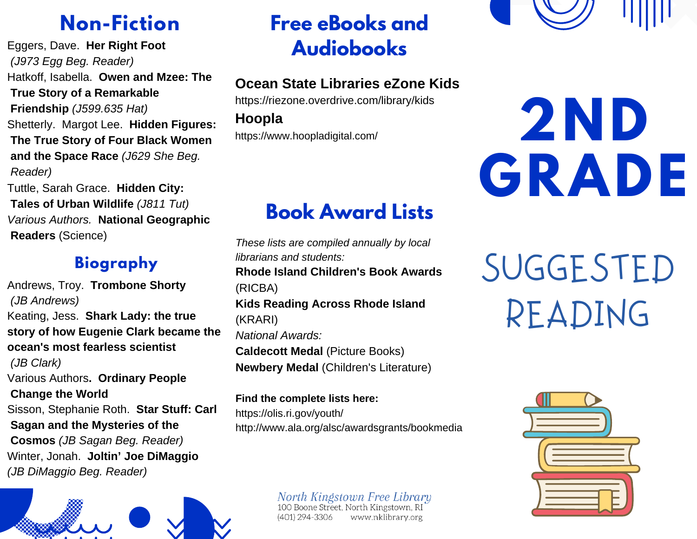# **Non-Fiction**

Eggers, Dave. **Her Right Foot** *(J973 Egg Beg. Reader)* Hatkoff, Isabella. **Owen and Mzee: The True Story of a Remarkable Friendship** *(J599.635 Hat)* Shetterly. Margot Lee. **Hidden Figures: The True Story of Four Black Women and the Space Race** *(J629 She Beg. Reader)* Tuttle, Sarah Grace. **Hidden City:**

**Tales of Urban Wildlife** *(J811 Tut) Various Authors.* **National Geographic Readers** (Science)

#### **Biography**

Andrews, Troy. **Trombone Shorty** *(JB Andrews)* Keating, Jess. **Shark Lady: the true story of how Eugenie Clark became the ocean's most fearless scientist** *(JB Clark)* Various Authors**. Ordinary People Change the World** Sisson, Stephanie Roth. **Star Stuff: Carl Sagan and the Mysteries of the Cosmos** *(JB Sagan Beg. Reader)* Winter, Jonah. **Joltin' Joe DiMaggio** *(JB DiMaggio Beg. Reader)*

# **Free eBooks and Audiobooks**

#### **Ocean State Libraries eZone Kids**

https://riezone.overdrive.com/library/kids **Hoopla** https://www.hoopladigital.com/

# **Book Award Lists**

*These lists are compiled annually by local librarians and students:* **Rhode Island Children's Book Awards** (RICBA) **Kids Reading Across Rhode Island** (KRARI) *National Awards:* **Caldecott Medal** (Picture Books) **Newbery Medal** (Children's Literature)

**Find the complete lists here:** https://olis.ri.gov/youth/ http://www.ala.org/alsc/awardsgrants/bookmedia

> North Kingstown Free Library<br>100 Boone Street, North Kingstown, RI (401) 294-3306 www.nklibrary.org



# **2ND GRADE**

SUGGESTED READING